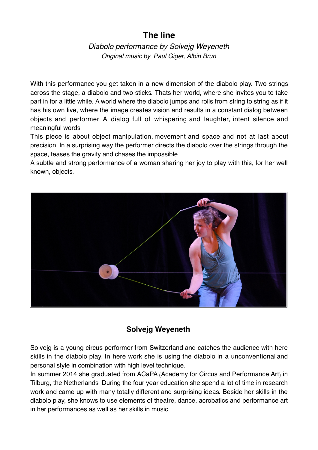# **The line**

*Diabolo performance by Solvejg Weyeneth Original music by*: *Paul Giger, Albin Brun*

With this performance you get taken in a new dimension of the diabolo play. Two strings across the stage, a diabolo and two sticks. Thats her world, where she invites you to take part in for a little while. A world where the diabolo jumps and rolls from string to string as if it has his own live, where the image creates vision and results in a constant dialog between objects and performer. A dialog full of whispering and laughter, intent silence and meaningful words.

This piece is about object manipulation, movement and space and not at last about precision. In a surprising way the performer directs the diabolo over the strings through the space, teases the gravity and chases the impossible.

A subtle and strong performance of a woman sharing her joy to play with this, for her well known, objects.



## **Solvejg Weyeneth**

Solvejg is a young circus performer from Switzerland and catches the audience with here skills in the diabolo play. In here work she is using the diabolo in a unconventional and personal style in combination with high level technique.

In summer 2014 she graduated from ACaPA (Academy for Circus and Performance Art) in Tilburg, the Netherlands. During the four year education she spend a lot of time in research work and came up with many totally different and surprising ideas. Beside her skills in the diabolo play, she knows to use elements of theatre, dance, acrobatics and performance art in her performances as well as her skills in music.